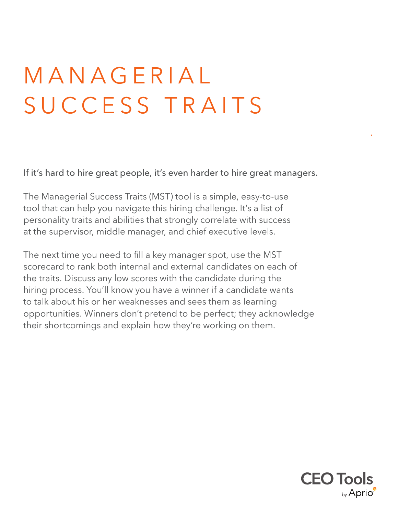## M A N A G E R I A L SUCCESS TRAITS

If it's hard to hire great people, it's even harder to hire great managers.

The Managerial Success Traits (MST) tool is a simple, easy-to-use tool that can help you navigate this hiring challenge. It's a list of personality traits and abilities that strongly correlate with success at the supervisor, middle manager, and chief executive levels.

The next time you need to fill a key manager spot, use the MST scorecard to rank both internal and external candidates on each of the traits. Discuss any low scores with the candidate during the hiring process. You'll know you have a winner if a candidate wants to talk about his or her weaknesses and sees them as learning opportunities. Winners don't pretend to be perfect; they acknowledge their shortcomings and explain how they're working on them.